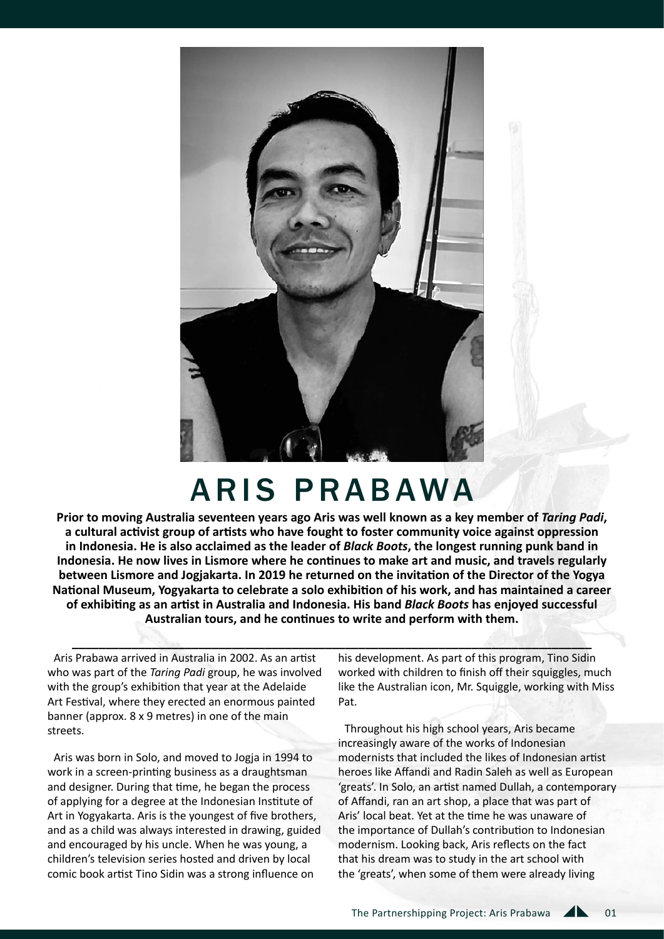

## ARIS PRABAWA

**Prior to moving Australia seventeen years ago Aris was well known as a key member of** *Taring Padi***, a cultural activist group of artists who have fought to foster community voice against oppression in Indonesia. He is also acclaimed as the leader of** *Black Boots***, the longest running punk band in Indonesia. He now lives in Lismore where he continues to make art and music, and travels regularly between Lismore and Jogjakarta. In 2019 he returned on the invitation of the Director of the Yogya National Museum, Yogyakarta to celebrate a solo exhibition of his work, and has maintained a career of exhibiting as an artist in Australia and Indonesia. His band** *Black Boots* **has enjoyed successful Australian tours, and he continues to write and perform with them.**

**\_\_\_\_\_\_\_\_\_\_\_\_\_\_\_\_\_\_\_\_\_\_\_\_\_\_\_\_\_\_\_\_\_\_\_\_\_\_\_\_\_\_\_\_\_\_\_\_\_\_\_\_\_\_\_\_\_\_\_\_\_\_\_\_\_\_\_\_\_\_\_\_\_\_\_\_\_\_**

Aris Prabawa arrived in Australia in 2002. As an artist who was part of the *Taring Padi* group, he was involved with the group's exhibition that year at the Adelaide Art Festival, where they erected an enormous painted banner (approx. 8 x 9 metres) in one of the main streets.

Aris was born in Solo, and moved to Jogja in 1994 to work in a screen-printing business as a draughtsman and designer. During that time, he began the process of applying for a degree at the Indonesian Institute of Art in Yogyakarta. Aris is the youngest of five brothers, and as a child was always interested in drawing, guided and encouraged by his uncle. When he was young, a children's television series hosted and driven by local comic book artist Tino Sidin was a strong influence on

his development. As part of this program, Tino Sidin worked with children to finish off their squiggles, much like the Australian icon, Mr. Squiggle, working with Miss Pat.

Throughout his high school years, Aris became increasingly aware of the works of Indonesian modernists that included the likes of Indonesian artist heroes like Affandi and Radin Saleh as well as European 'greats'. In Solo, an artist named Dullah, a contemporary of Affandi, ran an art shop, a place that was part of Aris' local beat. Yet at the time he was unaware of the importance of Dullah's contribution to Indonesian modernism. Looking back, Aris reflects on the fact that his dream was to study in the art school with the 'greats', when some of them were already living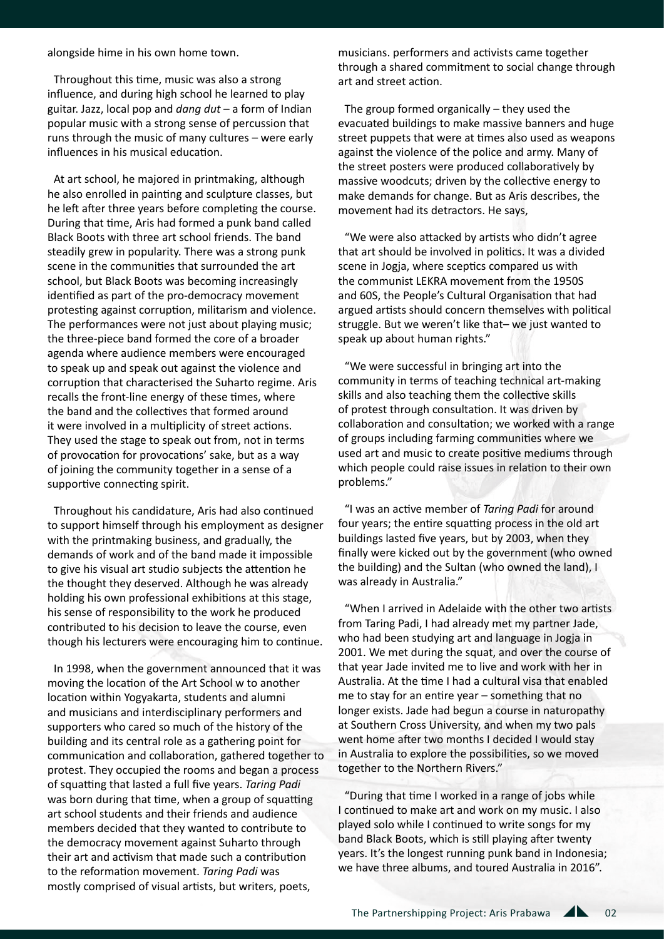alongside hime in his own home town.

Throughout this time, music was also a strong influence, and during high school he learned to play guitar. Jazz, local pop and *dang dut* – a form of Indian popular music with a strong sense of percussion that runs through the music of many cultures – were early influences in his musical education.

At art school, he majored in printmaking, although he also enrolled in painting and sculpture classes, but he left after three years before completing the course. During that time, Aris had formed a punk band called Black Boots with three art school friends. The band steadily grew in popularity. There was a strong punk scene in the communities that surrounded the art school, but Black Boots was becoming increasingly identified as part of the pro-democracy movement protesting against corruption, militarism and violence. The performances were not just about playing music; the three-piece band formed the core of a broader agenda where audience members were encouraged to speak up and speak out against the violence and corruption that characterised the Suharto regime. Aris recalls the front-line energy of these times, where the band and the collectives that formed around it were involved in a multiplicity of street actions. They used the stage to speak out from, not in terms of provocation for provocations' sake, but as a way of joining the community together in a sense of a supportive connecting spirit.

Throughout his candidature, Aris had also continued to support himself through his employment as designer with the printmaking business, and gradually, the demands of work and of the band made it impossible to give his visual art studio subjects the attention he the thought they deserved. Although he was already holding his own professional exhibitions at this stage, his sense of responsibility to the work he produced contributed to his decision to leave the course, even though his lecturers were encouraging him to continue.

In 1998, when the government announced that it was moving the location of the Art School w to another location within Yogyakarta, students and alumni and musicians and interdisciplinary performers and supporters who cared so much of the history of the building and its central role as a gathering point for communication and collaboration, gathered together to protest. They occupied the rooms and began a process of squatting that lasted a full five years. *Taring Padi*  was born during that time, when a group of squatting art school students and their friends and audience members decided that they wanted to contribute to the democracy movement against Suharto through their art and activism that made such a contribution to the reformation movement. *Taring Padi* was mostly comprised of visual artists, but writers, poets,

musicians. performers and activists came together through a shared commitment to social change through art and street action.

The group formed organically – they used the evacuated buildings to make massive banners and huge street puppets that were at times also used as weapons against the violence of the police and army. Many of the street posters were produced collaboratively by massive woodcuts; driven by the collective energy to make demands for change. But as Aris describes, the movement had its detractors. He says,

"We were also attacked by artists who didn't agree that art should be involved in politics. It was a divided scene in Jogja, where sceptics compared us with the communist LEKRA movement from the 1950S and 60S, the People's Cultural Organisation that had argued artists should concern themselves with political struggle. But we weren't like that– we just wanted to speak up about human rights."

"We were successful in bringing art into the community in terms of teaching technical art-making skills and also teaching them the collective skills of protest through consultation. It was driven by collaboration and consultation; we worked with a range of groups including farming communities where we used art and music to create positive mediums through which people could raise issues in relation to their own problems."

"I was an active member of *Taring Padi* for around four years; the entire squatting process in the old art buildings lasted five years, but by 2003, when they finally were kicked out by the government (who owned the building) and the Sultan (who owned the land), I was already in Australia."

"When I arrived in Adelaide with the other two artists from Taring Padi, I had already met my partner Jade, who had been studying art and language in Jogja in 2001. We met during the squat, and over the course of that year Jade invited me to live and work with her in Australia. At the time I had a cultural visa that enabled me to stay for an entire year – something that no longer exists. Jade had begun a course in naturopathy at Southern Cross University, and when my two pals went home after two months I decided I would stay in Australia to explore the possibilities, so we moved together to the Northern Rivers."

"During that time I worked in a range of jobs while I continued to make art and work on my music. I also played solo while I continued to write songs for my band Black Boots, which is still playing after twenty years. It's the longest running punk band in Indonesia; we have three albums, and toured Australia in 2016".